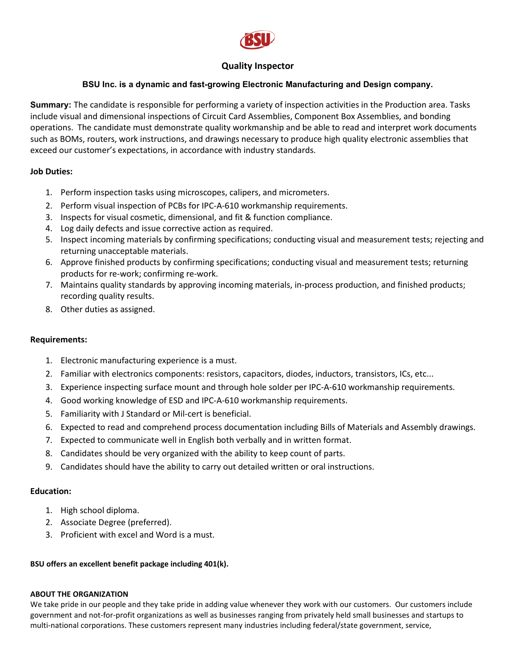

# **Quality Inspector**

## **BSU Inc. is a dynamic and fast-growing Electronic Manufacturing and Design company.**

**Summary:** The candidate is responsible for performing a variety of inspection activities in the Production area. Tasks include visual and dimensional inspections of Circuit Card Assemblies, Component Box Assemblies, and bonding operations. The candidate must demonstrate quality workmanship and be able to read and interpret work documents such as BOMs, routers, work instructions, and drawings necessary to produce high quality electronic assemblies that exceed our customer's expectations, in accordance with industry standards.

## **Job Duties:**

- 1. Perform inspection tasks using microscopes, calipers, and micrometers.
- 2. Perform visual inspection of PCBs for IPC-A-610 workmanship requirements.
- 3. Inspects for visual cosmetic, dimensional, and fit & function compliance.
- 4. Log daily defects and issue corrective action as required.
- 5. Inspect incoming materials by confirming specifications; conducting visual and measurement tests; rejecting and returning unacceptable materials.
- 6. Approve finished products by confirming specifications; conducting visual and measurement tests; returning products for re-work; confirming re-work.
- 7. Maintains quality standards by approving incoming materials, in-process production, and finished products; recording quality results.
- 8. Other duties as assigned.

## **Requirements:**

- 1. Electronic manufacturing experience is a must.
- 2. Familiar with electronics components: resistors, capacitors, diodes, inductors, transistors, ICs, etc...
- 3. Experience inspecting surface mount and through hole solder per IPC-A-610 workmanship requirements.
- 4. Good working knowledge of ESD and IPC-A-610 workmanship requirements.
- 5. Familiarity with J Standard or Mil-cert is beneficial.
- 6. Expected to read and comprehend process documentation including Bills of Materials and Assembly drawings.
- 7. Expected to communicate well in English both verbally and in written format.
- 8. Candidates should be very organized with the ability to keep count of parts.
- 9. Candidates should have the ability to carry out detailed written or oral instructions.

## **Education:**

- 1. High school diploma.
- 2. Associate Degree (preferred).
- 3. Proficient with excel and Word is a must.

## **BSU offers an excellent benefit package including 401(k).**

#### **ABOUT THE ORGANIZATION**

We take pride in our people and they take pride in adding value whenever they work with our customers. Our customers include government and not-for-profit organizations as well as businesses ranging from privately held small businesses and startups to multi-national corporations. These customers represent many industries including federal/state government, service,